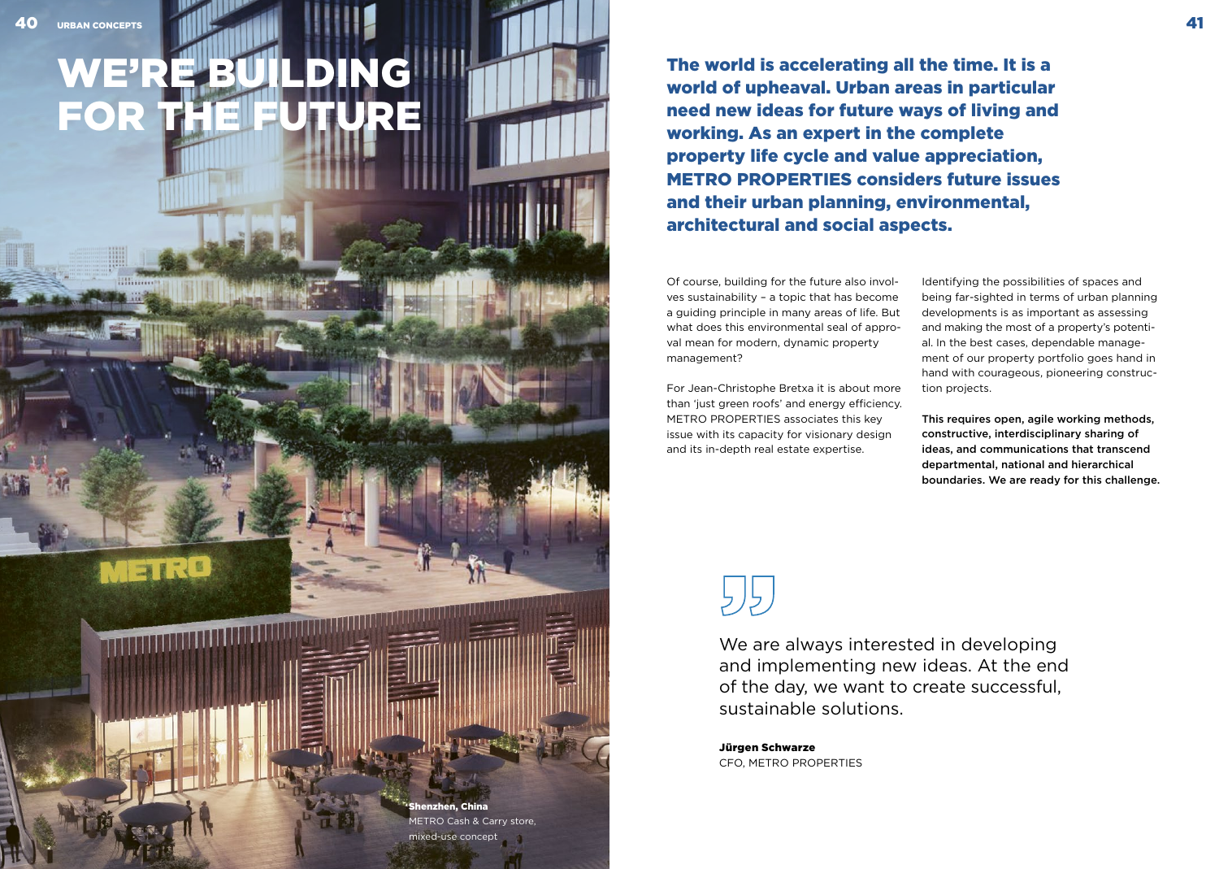METRO

<u> Albanya Manazarta ya Manazarta</u>

# WE'RE BUILDING FOR THE FUTURE

The world is accelerating all the time. It is a world of upheaval. Urban areas in particular need new ideas for future ways of living and working. As an expert in the complete property life cycle and value appreciation, METRO PROPERTIES considers future issues and their urban planning, environmental, architectural and social aspects.

Of course, building for the future also involves sustainability – a topic that has become a guiding principle in many areas of life. But what does this environmental seal of approval mean for modern, dynamic property management?

For Jean-Christophe Bretxa it is about more than 'just green roofs' and energy efficiency. METRO PROPERTIES associates this key issue with its capacity for visionary design and its in-depth real estate expertise.

Identifying the possibilities of spaces and being far-sighted in terms of urban planning developments is as important as assessing and making the most of a property's potential. In the best cases, dependable management of our property portfolio goes hand in hand with courageous, pioneering construction projects.

This requires open, agile working methods, constructive, interdisciplinary sharing of ideas, and communications that transcend departmental, national and hierarchical boundaries. We are ready for this challenge.

henzhen, China METRO Cash & Carry store, mixed-use concept

We are always interested in developing and implementing new ideas. At the end of the day, we want to create successful, sustainable solutions.

Jürgen Schwarze CFO, METRO PROPERTIES